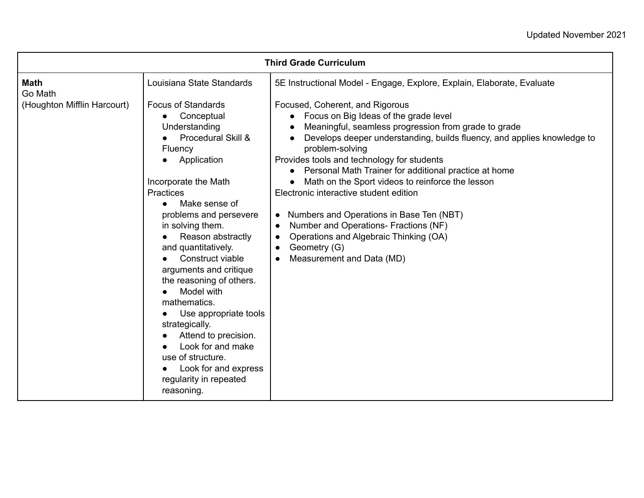| <b>Third Grade Curriculum</b>                                                                                                                                                                                          |                                                                                                                                                                                                                                                                                                                                                                                                                                                                                  |                                                                                                                                                                                                                                                                        |  |  |
|------------------------------------------------------------------------------------------------------------------------------------------------------------------------------------------------------------------------|----------------------------------------------------------------------------------------------------------------------------------------------------------------------------------------------------------------------------------------------------------------------------------------------------------------------------------------------------------------------------------------------------------------------------------------------------------------------------------|------------------------------------------------------------------------------------------------------------------------------------------------------------------------------------------------------------------------------------------------------------------------|--|--|
| Louisiana State Standards<br><b>Math</b><br>Go Math<br>(Houghton Mifflin Harcourt)<br><b>Focus of Standards</b><br>Conceptual<br>Understanding<br>Procedural Skill &<br>Fluency<br>Application<br>Incorporate the Math | 5E Instructional Model - Engage, Explore, Explain, Elaborate, Evaluate<br>Focused, Coherent, and Rigorous<br>Focus on Big Ideas of the grade level<br>$\bullet$<br>Meaningful, seamless progression from grade to grade<br>Develops deeper understanding, builds fluency, and applies knowledge to<br>problem-solving<br>Provides tools and technology for students<br>Personal Math Trainer for additional practice at home<br>Math on the Sport videos to reinforce the lesson |                                                                                                                                                                                                                                                                        |  |  |
|                                                                                                                                                                                                                        | Practices<br>Make sense of<br>problems and persevere<br>in solving them.<br>Reason abstractly<br>and quantitatively.<br>Construct viable<br>arguments and critique<br>the reasoning of others.<br>Model with<br>mathematics.<br>Use appropriate tools<br>strategically.<br>Attend to precision.<br>Look for and make<br>use of structure.<br>Look for and express<br>regularity in repeated<br>reasoning.                                                                        | Electronic interactive student edition<br>Numbers and Operations in Base Ten (NBT)<br>$\bullet$<br>Number and Operations- Fractions (NF)<br>$\bullet$<br>Operations and Algebraic Thinking (OA)<br>$\bullet$<br>Geometry (G)<br>$\bullet$<br>Measurement and Data (MD) |  |  |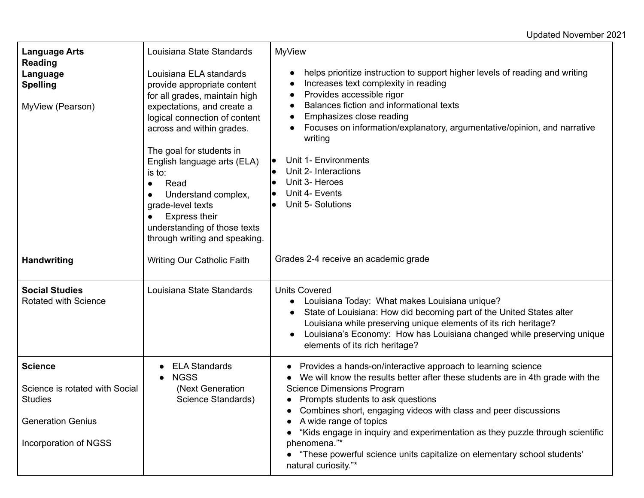## Updated November 2021

| <b>Language Arts</b><br><b>Reading</b>                                                                                  | Louisiana State Standards                                                                                                                                                                                                                                                                                  | <b>MyView</b>                                                                                                                                                                                                                                                                                                                                                                                                                                                                                                                 |
|-------------------------------------------------------------------------------------------------------------------------|------------------------------------------------------------------------------------------------------------------------------------------------------------------------------------------------------------------------------------------------------------------------------------------------------------|-------------------------------------------------------------------------------------------------------------------------------------------------------------------------------------------------------------------------------------------------------------------------------------------------------------------------------------------------------------------------------------------------------------------------------------------------------------------------------------------------------------------------------|
| Language<br><b>Spelling</b>                                                                                             | Louisiana ELA standards<br>provide appropriate content<br>for all grades, maintain high                                                                                                                                                                                                                    | helps prioritize instruction to support higher levels of reading and writing<br>٠<br>Increases text complexity in reading<br>$\bullet$<br>Provides accessible rigor<br>$\bullet$                                                                                                                                                                                                                                                                                                                                              |
| MyView (Pearson)                                                                                                        | expectations, and create a<br>logical connection of content<br>across and within grades.<br>The goal for students in<br>English language arts (ELA)<br>is to:<br>Read<br>Understand complex,<br>grade-level texts<br><b>Express their</b><br>understanding of those texts<br>through writing and speaking. | Balances fiction and informational texts<br>$\bullet$<br>Emphasizes close reading<br>$\bullet$<br>Focuses on information/explanatory, argumentative/opinion, and narrative<br>writing<br>Unit 1- Environments<br>lo<br>Unit 2- Interactions<br>Unit 3- Heroes<br>$\bullet$<br>Unit 4- Events<br>$\bullet$<br>Unit 5- Solutions                                                                                                                                                                                                |
| <b>Handwriting</b>                                                                                                      | Writing Our Catholic Faith                                                                                                                                                                                                                                                                                 | Grades 2-4 receive an academic grade                                                                                                                                                                                                                                                                                                                                                                                                                                                                                          |
| <b>Social Studies</b><br><b>Rotated with Science</b>                                                                    | Louisiana State Standards                                                                                                                                                                                                                                                                                  | <b>Units Covered</b><br>Louisiana Today: What makes Louisiana unique?<br>State of Louisiana: How did becoming part of the United States alter<br>$\bullet$<br>Louisiana while preserving unique elements of its rich heritage?<br>Louisiana's Economy: How has Louisiana changed while preserving unique<br>elements of its rich heritage?                                                                                                                                                                                    |
| <b>Science</b><br>Science is rotated with Social<br><b>Studies</b><br><b>Generation Genius</b><br>Incorporation of NGSS | <b>ELA Standards</b><br><b>NGSS</b><br>(Next Generation<br>Science Standards)                                                                                                                                                                                                                              | Provides a hands-on/interactive approach to learning science<br>We will know the results better after these students are in 4th grade with the<br><b>Science Dimensions Program</b><br>• Prompts students to ask questions<br>Combines short, engaging videos with class and peer discussions<br>A wide range of topics<br>"Kids engage in inquiry and experimentation as they puzzle through scientific<br>phenomena."*<br>• "These powerful science units capitalize on elementary school students'<br>natural curiosity."* |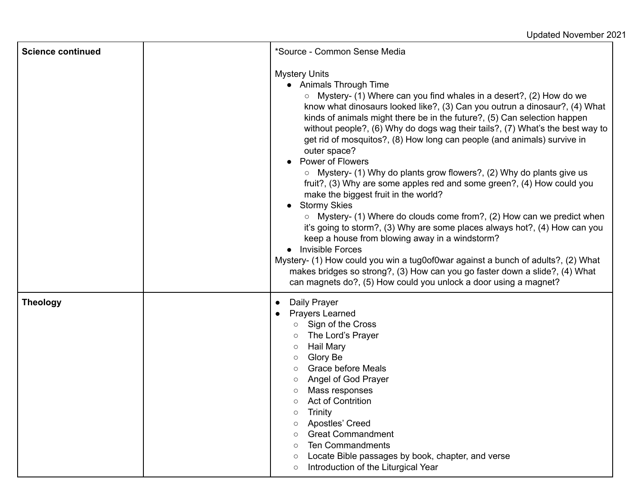| <b>Science continued</b> | *Source - Common Sense Media                                                                                                                                                                                                                                                                                                                                                                                                                                                                                                                                                                                                                                                                                                                                                                                                                                                                                                                                                                                                                                                                                                                                                                            |
|--------------------------|---------------------------------------------------------------------------------------------------------------------------------------------------------------------------------------------------------------------------------------------------------------------------------------------------------------------------------------------------------------------------------------------------------------------------------------------------------------------------------------------------------------------------------------------------------------------------------------------------------------------------------------------------------------------------------------------------------------------------------------------------------------------------------------------------------------------------------------------------------------------------------------------------------------------------------------------------------------------------------------------------------------------------------------------------------------------------------------------------------------------------------------------------------------------------------------------------------|
|                          | <b>Mystery Units</b><br>• Animals Through Time<br>$\circ$ Mystery- (1) Where can you find whales in a desert?, (2) How do we<br>know what dinosaurs looked like?, (3) Can you outrun a dinosaur?, (4) What<br>kinds of animals might there be in the future?, (5) Can selection happen<br>without people?, (6) Why do dogs wag their tails?, (7) What's the best way to<br>get rid of mosquitos?, (8) How long can people (and animals) survive in<br>outer space?<br><b>Power of Flowers</b><br>$\circ$ Mystery- (1) Why do plants grow flowers?, (2) Why do plants give us<br>fruit?, (3) Why are some apples red and some green?, (4) How could you<br>make the biggest fruit in the world?<br><b>Stormy Skies</b><br>$\circ$ Mystery- (1) Where do clouds come from?, (2) How can we predict when<br>it's going to storm?, (3) Why are some places always hot?, (4) How can you<br>keep a house from blowing away in a windstorm?<br><b>Invisible Forces</b><br>Mystery- (1) How could you win a tug0of0war against a bunch of adults?, (2) What<br>makes bridges so strong?, (3) How can you go faster down a slide?, (4) What<br>can magnets do?, (5) How could you unlock a door using a magnet? |
| <b>Theology</b>          | Daily Prayer<br>$\bullet$<br>Prayers Learned<br>○ Sign of the Cross<br>The Lord's Prayer<br>Hail Mary<br>$\circ$<br>Glory Be<br><b>Grace before Meals</b><br>$\circ$<br>Angel of God Prayer<br>Mass responses<br><b>Act of Contrition</b><br>Trinity<br>$\circ$<br>Apostles' Creed<br>$\circ$<br><b>Great Commandment</b><br>$\circ$<br><b>Ten Commandments</b><br>Locate Bible passages by book, chapter, and verse<br>$\circ$<br>Introduction of the Liturgical Year<br>$\circ$                                                                                                                                                                                                                                                                                                                                                                                                                                                                                                                                                                                                                                                                                                                       |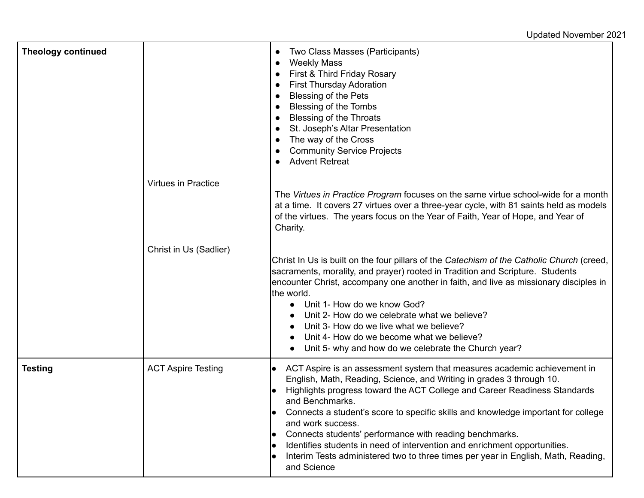Updated November 2021

| <b>Theology continued</b> |                            | Two Class Masses (Participants)<br>$\bullet$<br><b>Weekly Mass</b><br>$\bullet$<br>First & Third Friday Rosary<br>$\bullet$<br><b>First Thursday Adoration</b><br>$\bullet$<br>Blessing of the Pets<br>$\bullet$<br>Blessing of the Tombs<br>$\bullet$<br><b>Blessing of the Throats</b><br>St. Joseph's Altar Presentation<br>The way of the Cross<br>$\bullet$<br><b>Community Service Projects</b><br><b>Advent Retreat</b>                                                                                                                                                                                                   |
|---------------------------|----------------------------|----------------------------------------------------------------------------------------------------------------------------------------------------------------------------------------------------------------------------------------------------------------------------------------------------------------------------------------------------------------------------------------------------------------------------------------------------------------------------------------------------------------------------------------------------------------------------------------------------------------------------------|
|                           | <b>Virtues in Practice</b> | The Virtues in Practice Program focuses on the same virtue school-wide for a month<br>at a time. It covers 27 virtues over a three-year cycle, with 81 saints held as models<br>of the virtues. The years focus on the Year of Faith, Year of Hope, and Year of<br>Charity.                                                                                                                                                                                                                                                                                                                                                      |
|                           | Christ in Us (Sadlier)     | Christ In Us is built on the four pillars of the Catechism of the Catholic Church (creed,<br>sacraments, morality, and prayer) rooted in Tradition and Scripture. Students<br>encounter Christ, accompany one another in faith, and live as missionary disciples in<br>the world.<br>Unit 1- How do we know God?<br>Unit 2- How do we celebrate what we believe?<br>Unit 3- How do we live what we believe?<br>Unit 4- How do we become what we believe?<br>Unit 5- why and how do we celebrate the Church year?                                                                                                                 |
| <b>Testing</b>            | <b>ACT Aspire Testing</b>  | ACT Aspire is an assessment system that measures academic achievement in<br>$\bullet$<br>English, Math, Reading, Science, and Writing in grades 3 through 10.<br>Highlights progress toward the ACT College and Career Readiness Standards<br>and Benchmarks.<br>Connects a student's score to specific skills and knowledge important for college<br>and work success.<br>Connects students' performance with reading benchmarks.<br>$\bullet$<br>Identifies students in need of intervention and enrichment opportunities.<br>Interim Tests administered two to three times per year in English, Math, Reading,<br>and Science |